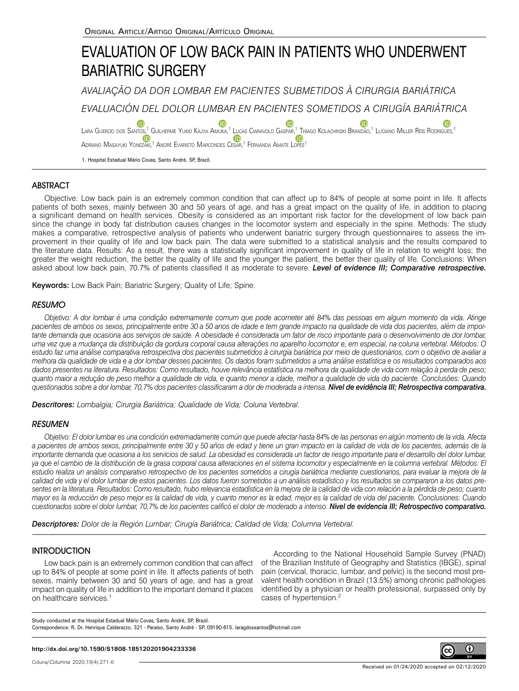# EVALUATION OF LOW BACK PAIN IN PATIENTS WHO UNDERWENT BARIATRIC SURGERY

*AVALIAÇÃO DA DOR LOMBAR EM PACIENTES SUBMETIDOS À CIRURGIA BARIÁTRICA*

*EVALUACIÓN DEL DOLOR LUMBAR EN PACIENTES SOMETIDOS A CIRUGÍA BARIÁTRICA*

Lara Guercio dos Santos[,](https://orcid.org/0000-0001-6891-5395)<sup>1</sup> Guilherme Yukio Kajya Amuka,<sup>1</sup> [Luca](https://orcid.org/0000-0001-5535-2642)s Ciaravolo Gaspar,<sup>1</sup> Thiago Kolachinski Brandão,<sup>1</sup> Luciano Miller Reis Rodrigues,<sup>1</sup> (D Adriano Masayuki Yon[ezaki,](https://orcid.org/0000-0002-2141-0119)<sup>1</sup> André Evaristo Marcondes Cesar,<sup>1</sup> Fernanda Amate Lopes<sup>1</sup>

1. Hospital Estadual Mário Covas, Santo André, SP, Brazil.

# **ABSTRACT**

Objective: Low back pain is an extremely common condition that can affect up to 84% of people at some point in life. It affects patients of both sexes, mainly between 30 and 50 years of age, and has a great impact on the quality of life, in addition to placing a significant demand on health services. Obesity is considered as an important risk factor for the development of low back pain since the change in body fat distribution causes changes in the locomotor system and especially in the spine. Methods: The study makes a comparative, retrospective analysis of patients who underwent bariatric surgery through questionnaires to assess the improvement in their quality of life and low back pain. The data were submitted to a statistical analysis and the results compared to the literature data. Results: As a result, there was a statistically significant improvement in quality of life in relation to weight loss; the greater the weight reduction, the better the quality of life and the younger the patient, the better their quality of life. Conclusions: When asked about low back pain, 70.7% of patients classified it as moderate to severe. *Level of evidence III; Comparative retrospective.*

Keywords: Low Back Pain; Bariatric Surgery; Quality of Life; Spine.

## **RESUMO**

*Objetivo: A dor lombar é uma condição extremamente comum que pode acometer até 84% das pessoas em algum momento da vida. Atinge pacientes de ambos os sexos, principalmente entre 30 a 50 anos de idade e tem grande impacto na qualidade de vida dos pacientes, além da importante demanda que ocasiona aos serviços de saúde. A obesidade é considerada um fator de risco importante para o desenvolvimento de dor lombar, uma vez que a mudança da distribuição da gordura corporal causa alterações no aparelho locomotor e, em especial, na coluna vertebral. Métodos: O estudo faz uma análise comparativa retrospectiva dos pacientes submetidos à cirurgia bariátrica por meio de questionários, com o objetivo de avaliar a melhora da qualidade de vida e a dor lombar desses pacientes. Os dados foram submetidos a uma análise estatística e os resultados comparados aos dados presentes na literatura. Resultados: Como resultado, houve relevância estatística na melhora da qualidade de vida com relação à perda de peso; quanto maior a redução de peso melhor a qualidade de vida, e quanto menor a idade, melhor a qualidade de vida do paciente. Conclusões: Quando questionados sobre a dor lombar, 70,7% dos pacientes classificaram a dor de moderada a intensa. Nível de evidência III; Retrospectiva comparativa.*

*Descritores: Lombalgia; Cirurgia Bariátrica; Qualidade de Vida; Coluna Vertebral.*

## RESUMEN

*Objetivo: El dolor lumbar es una condición extremadamente común que puede afectar hasta 84% de las personas en algún momento de la vida. Afecta a pacientes de ambos sexos, principalmente entre 30 y 50 años de edad y tiene un gran impacto en la calidad de vida de los pacientes, además de la importante demanda que ocasiona a los servicios de salud. La obesidad es considerada un factor de riesgo importante para el desarrollo del dolor lumbar, ya que el cambio de la distribución de la grasa corporal causa alteraciones en el sistema locomotor y especialmente en la columna vertebral. Métodos: El estudio realiza un análisis comparativo retrospectivo de los pacientes sometidos a cirugía bariátrica mediante cuestionarios, para evaluar la mejora de la calidad de vida y el dolor lumbar de estos pacientes. Los datos fueron sometidos a un análisis estadístico y los resultados se compararon a los datos presentes en la literatura. Resultados: Como resultado, hubo relevancia estadística en la mejora de la calidad de vida con relación a la pérdida de peso; cuanto mayor es la reducción de peso mejor es la calidad de vida, y cuanto menor es la edad, mejor es la calidad de vida del paciente. Conclusiones: Cuando cuestionados sobre el dolor lumbar, 70,7% de los pacientes calificó el dolor de moderado a intenso. Nivel de evidencia III; Retrospectivo comparativo.*

*Descriptores: Dolor de la Región Lumbar; Cirugía Bariátrica; Calidad de Vida; Columna Vertebral.*

# **INTRODUCTION**

Low back pain is an extremely common condition that can affect up to 84% of people at some point in life. It affects patients of both sexes, mainly between 30 and 50 years of age, and has a great impact on quality of life in addition to the important demand it places on healthcare services.<sup>1</sup>

According to the National Household Sample Survey (PNAD) of the Brazilian Institute of Geography and Statistics (IBGE), spinal pain (cervical, thoracic, lumbar, and pelvic) is the second most prevalent health condition in Brazil (13.5%) among chronic pathologies identified by a physician or health professional, surpassed only by cases of hypertension.2

Study conducted at the Hospital Estadual Mário Covas, Santo André, SP, Brazil. Correspondence: R. Dr. Henrique Calderazzo, 321 - Paraíso, Santo André - SP, 09190-615. laragdossantos@hotmail.com

#### **http://dx.doi.org/10.1590/S1808-185120201904233336**

G)

(cc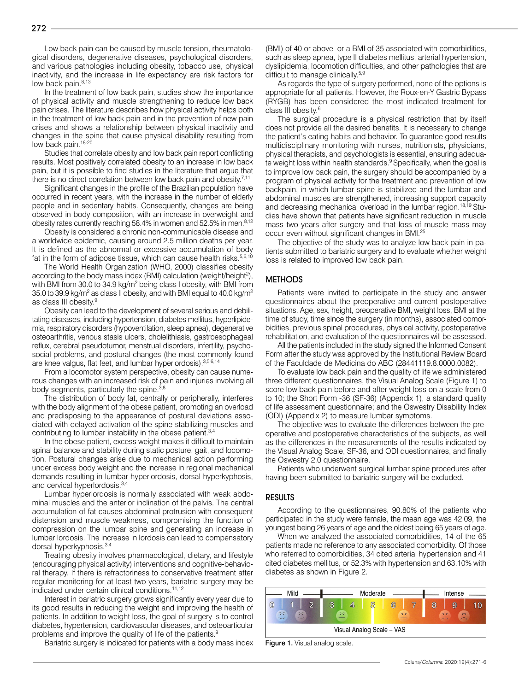Low back pain can be caused by muscle tension, rheumatological disorders, degenerative diseases, psychological disorders, and various pathologies including obesity, tobacco use, physical inactivity, and the increase in life expectancy are risk factors for low back pain.<sup>8,13</sup>

In the treatment of low back pain, studies show the importance of physical activity and muscle strengthening to reduce low back pain crises. The literature describes how physical activity helps both in the treatment of low back pain and in the prevention of new pain crises and shows a relationship between physical inactivity and changes in the spine that cause physical disability resulting from low back pain.<sup>18-20</sup>

Studies that correlate obesity and low back pain report conflicting results. Most positively correlated obesity to an increase in low back pain, but it is possible to find studies in the literature that argue that there is no direct correlation between low back pain and obesity.<sup>7,11</sup>

Significant changes in the profile of the Brazilian population have occurred in recent years, with the increase in the number of elderly people and in sedentary habits. Consequently, changes are being observed in body composition, with an increase in overweight and obesity rates currently reaching 58.4% in women and 52.5% in men.<sup>8,12</sup>

Obesity is considered a chronic non-communicable disease and a worldwide epidemic, causing around 2.5 million deaths per year. It is defined as the abnormal or excessive accumulation of body fat in the form of adipose tissue, which can cause health risks. $5,6,10$ 

The World Health Organization (WHO, 2000) classifies obesity according to the body mass index (BMI) calculation (weight/height<sup>2</sup>), with BMI from 30.0 to 34.9 kg/m<sup>2</sup> being class I obesity, with BMI from 35.0 to 39.9 kg/m $^2$  as class II obesity, and with BMI equal to 40.0 kg/m $^2$ as class III obesity.9

Obesity can lead to the development of several serious and debilitating diseases, including hypertension, diabetes mellitus, hyperlipidemia, respiratory disorders (hypoventilation, sleep apnea), degenerative osteoarthritis, venous stasis ulcers, cholelithiasis, gastroesophageal reflux, cerebral pseudotumor, menstrual disorders, infertility, psychosocial problems, and postural changes (the most commonly found are knee valgus, flat feet, and lumbar hyperlordosis). 3,5,6,14

From a locomotor system perspective, obesity can cause numerous changes with an increased risk of pain and injuries involving all body segments, particularly the spine.<sup>3,8</sup>

The distribution of body fat, centrally or peripherally, interferes with the body alignment of the obese patient, promoting an overload and predisposing to the appearance of postural deviations associated with delayed activation of the spine stabilizing muscles and contributing to lumbar instability in the obese patient.<sup>3,4</sup>

In the obese patient, excess weight makes it difficult to maintain spinal balance and stability during static posture, gait, and locomotion. Postural changes arise due to mechanical action performing under excess body weight and the increase in regional mechanical demands resulting in lumbar hyperlordosis, dorsal hyperkyphosis, and cervical hyperlordosis.3,4

Lumbar hyperlordosis is normally associated with weak abdominal muscles and the anterior inclination of the pelvis. The central accumulation of fat causes abdominal protrusion with consequent distension and muscle weakness, compromising the function of compression on the lumbar spine and generating an increase in lumbar lordosis. The increase in lordosis can lead to compensatory dorsal hyperkyphosis.<sup>3,4</sup>

Treating obesity involves pharmacological, dietary, and lifestyle (encouraging physical activity) interventions and cognitive-behavioral therapy. If there is refractoriness to conservative treatment after regular monitoring for at least two years, bariatric surgery may be indicated under certain clinical conditions.<sup>11,12</sup>

Interest in bariatric surgery grows significantly every year due to its good results in reducing the weight and improving the health of patients. In addition to weight loss, the goal of surgery is to control diabetes, hypertension, cardiovascular diseases, and osteoarticular problems and improve the quality of life of the patients.9

Bariatric surgery is indicated for patients with a body mass index

(BMI) of 40 or above or a BMI of 35 associated with comorbidities, such as sleep apnea, type II diabetes mellitus, arterial hypertension, dyslipidemia, locomotion difficulties, and other pathologies that are difficult to manage clinically.<sup>5,9</sup>

As regards the type of surgery performed, none of the options is appropriate for all patients. However, the Roux-en-Y Gastric Bypass (RYGB) has been considered the most indicated treatment for class III obesity.<sup>6</sup>

The surgical procedure is a physical restriction that by itself does not provide all the desired benefits. It is necessary to change the patient's eating habits and behavior. To guarantee good results multidisciplinary monitoring with nurses, nutritionists, physicians, physical therapists, and psychologists is essential, ensuring adequate weight loss within health standards.<sup>9</sup> Specifically, when the goal is to improve low back pain, the surgery should be accompanied by a program of physical activity for the treatment and prevention of low backpain, in which lumbar spine is stabilized and the lumbar and abdominal muscles are strengthened, increasing support capacity and decreasing mechanical overload in the lumbar region.<sup>18,19</sup> Studies have shown that patients have significant reduction in muscle mass two years after surgery and that loss of muscle mass may occur even without significant changes in BMI.25

The objective of the study was to analyze low back pain in patients submitted to bariatric surgery and to evaluate whether weight loss is related to improved low back pain.

#### **METHODS**

Patients were invited to participate in the study and answer questionnaires about the preoperative and current postoperative situations. Age, sex, height, preoperative BMI, weight loss, BMI at the time of study, time since the surgery (in months), associated comorbidities, previous spinal procedures, physical activity, postoperative rehabilitation, and evaluation of the questionnaires will be assessed.

All the patients included in the study signed the Informed Consent Form after the study was approved by the Institutional Review Board of the Faculdade de Medicina do ABC (28441119.8.0000.0082).

To evaluate low back pain and the quality of life we administered three different questionnaires, the Visual Analog Scale (Figure 1) to score low back pain before and after weight loss on a scale from 0 to 10; the Short Form -36 (SF-36) (Appendix 1), a standard quality of life assessment questionnaire; and the Oswestry Disability Index (ODI) (Appendix 2) to measure lumbar symptoms.

The objective was to evaluate the differences between the preoperative and postoperative characteristics of the subjects, as well as the differences in the measurements of the results indicated by the Visual Analog Scale, SF-36, and ODI questionnaires, and finally the Oswestry 2.0 questionnaire.

Patients who underwent surgical lumbar spine procedures after having been submitted to bariatric surgery will be excluded.

#### RESULTS

According to the questionnaires, 90.80% of the patients who participated in the study were female, the mean age was 42.09, the youngest being 26 years of age and the oldest being 65 years of age.

When we analyzed the associated comorbidities, 14 of the 65 patients made no reference to any associated comorbidity. Of those who referred to comorbidities, 34 cited arterial hypertension and 41 cited diabetes mellitus, or 52.3% with hypertension and 63.10% with diabetes as shown in Figure 2.



Figure 1. Visual analog scale.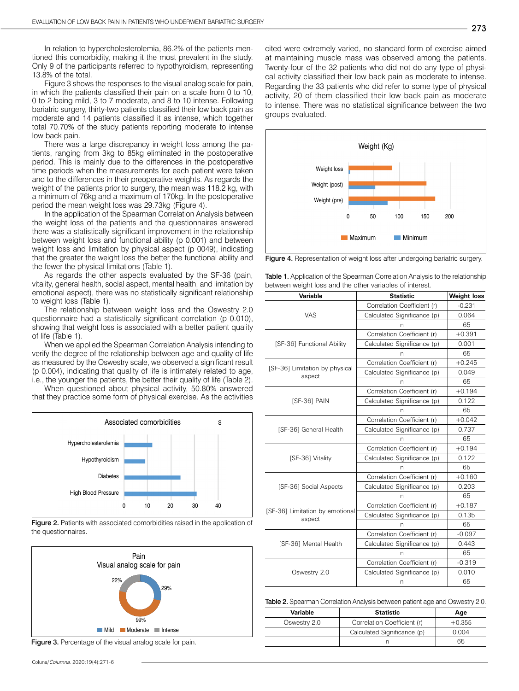In relation to hypercholesterolemia, 86.2% of the patients mentioned this comorbidity, making it the most prevalent in the study. Only 9 of the participants referred to hypothyroidism, representing 13.8% of the total.

Figure 3 shows the responses to the visual analog scale for pain, in which the patients classified their pain on a scale from 0 to 10, 0 to 2 being mild, 3 to 7 moderate, and 8 to 10 intense. Following bariatric surgery, thirty-two patients classified their low back pain as moderate and 14 patients classified it as intense, which together total 70.70% of the study patients reporting moderate to intense low back pain.

There was a large discrepancy in weight loss among the patients, ranging from 3kg to 85kg eliminated in the postoperative period. This is mainly due to the differences in the postoperative time periods when the measurements for each patient were taken and to the differences in their preoperative weights. As regards the weight of the patients prior to surgery, the mean was 118.2 kg, with a minimum of 76kg and a maximum of 170kg. In the postoperative period the mean weight loss was 29.73kg (Figure 4).

In the application of the Spearman Correlation Analysis between the weight loss of the patients and the questionnaires answered there was a statistically significant improvement in the relationship between weight loss and functional ability (p 0.001) and between weight loss and limitation by physical aspect (p 0049), indicating that the greater the weight loss the better the functional ability and the fewer the physical limitations (Table 1).

As regards the other aspects evaluated by the SF-36 (pain, vitality, general health, social aspect, mental health, and limitation by emotional aspect), there was no statistically significant relationship to weight loss (Table 1).

The relationship between weight loss and the Oswestry 2.0 questionnaire had a statistically significant correlation (p 0.010), showing that weight loss is associated with a better patient quality of life (Table 1).

When we applied the Spearman Correlation Analysis intending to verify the degree of the relationship between age and quality of life as measured by the Oswestry scale, we observed a significant result (p 0.004), indicating that quality of life is intimately related to age, i.e., the younger the patients, the better their quality of life (Table 2).

When questioned about physical activity, 50.80% answered that they practice some form of physical exercise. As the activities



Figure 2. Patients with associated comorbidities raised in the application of the questionnaires.



Figure 3. Percentage of the visual analog scale for pain.

cited were extremely varied, no standard form of exercise aimed at maintaining muscle mass was observed among the patients. Twenty-four of the 32 patients who did not do any type of physical activity classified their low back pain as moderate to intense. Regarding the 33 patients who did refer to some type of physical activity, 20 of them classified their low back pain as moderate to intense. There was no statistical significance between the two groups evaluated.



Figure 4. Representation of weight loss after undergoing bariatric surgery.

|                                                          | <b>Table 1.</b> Application of the Spearman Correlation Analysis to the relationship |
|----------------------------------------------------------|--------------------------------------------------------------------------------------|
| between weight loss and the other variables of interest. |                                                                                      |

| <b>Variable</b>                           | <b>Statistic</b>            | <b>Weight loss</b> |
|-------------------------------------------|-----------------------------|--------------------|
|                                           | Correlation Coefficient (r) | $-0.231$           |
| VAS                                       | Calculated Significance (p) | 0.064              |
|                                           | n                           | 65                 |
|                                           | Correlation Coefficient (r) | $+0.391$           |
| [SF-36] Functional Ability                | Calculated Significance (p) | 0.001              |
|                                           | n                           | 65                 |
|                                           | Correlation Coefficient (r) | $+0.245$           |
| [SF-36] Limitation by physical<br>aspect  | Calculated Significance (p) | 0.049              |
|                                           |                             | 65                 |
|                                           | Correlation Coefficient (r) | $+0.194$           |
| [SF-36] PAIN                              | Calculated Significance (p) | 0.122              |
|                                           | n                           | 65                 |
|                                           | Correlation Coefficient (r) | $+0.042$           |
| [SF-36] General Health                    | Calculated Significance (p) | 0.737              |
|                                           | n                           | 65                 |
|                                           | Correlation Coefficient (r) | $+0.194$           |
| [SF-36] Vitality                          | Calculated Significance (p) | 0.122              |
|                                           | n                           | 65                 |
|                                           | Correlation Coefficient (r) | $+0.160$           |
| [SF-36] Social Aspects                    | Calculated Significance (p) | 0.203              |
|                                           | n                           | 65                 |
|                                           | Correlation Coefficient (r) | $+0.187$           |
| [SF-36] Limitation by emotional<br>aspect | Calculated Significance (p) | 0.135              |
|                                           | n                           | 65                 |
|                                           | Correlation Coefficient (r) | $-0.097$           |
| [SF-36] Mental Health                     | Calculated Significance (p) | 0.443              |
|                                           | n                           | 65                 |
|                                           | Correlation Coefficient (r) | $-0.319$           |
| Oswestry 2.0                              | Calculated Significance (p) | 0.010              |
|                                           | n                           | 65                 |

| <b>Table 2.</b> Spearman Correlation Analysis between patient age and Oswestry 2.0. |  |  |  |
|-------------------------------------------------------------------------------------|--|--|--|
|                                                                                     |  |  |  |

| Variable     | <b>Statistic</b>            | Age      |
|--------------|-----------------------------|----------|
| Oswestry 2.0 | Correlation Coefficient (r) | $+0.355$ |
|              | Calculated Significance (p) | 0.004    |
|              |                             | 65       |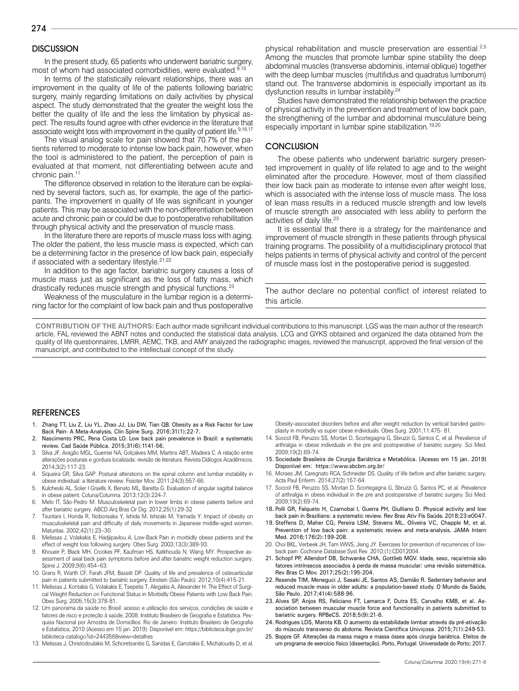## **DISCUSSION**

In the present study, 65 patients who underwent bariatric surgery, most of whom had associated comorbidities, were evaluated.<sup>9,15</sup>

In terms of the statistically relevant relationships, there was an improvement in the quality of life of the patients following bariatric surgery, mainly regarding limitations on daily activities by physical aspect. The study demonstrated that the greater the weight loss the better the quality of life and the less the limitation by physical aspect. The results found agree with other evidence in the literature that associate weight loss with improvement in the quality of patient life.<sup>9,16,17</sup>

The visual analog scale for pain showed that 70.7% of the patients referred to moderate to intense low back pain, however, when the tool is administered to the patient, the perception of pain is evaluated at that moment, not differentiating between acute and chronic pain.11

The difference observed in relation to the literature can be explained by several factors, such as, for example, the age of the participants. The improvement in quality of life was significant in younger patients. This may be associated with the non-differentiation between acute and chronic pain or could be due to postoperative rehabilitation through physical activity and the preservation of muscle mass.

In the literature there are reports of muscle mass loss with aging. The older the patient, the less muscle mass is expected, which can be a determining factor in the presence of low back pain, especially if associated with a sedentary lifestyle.<sup>21,22</sup>

In addition to the age factor, bariatric surgery causes a loss of muscle mass just as significant as the loss of fatty mass, which drastically reduces muscle strength and physical functions.<sup>23</sup>

Weakness of the musculature in the lumbar region is a determining factor for the complaint of low back pain and thus postoperative physical rehabilitation and muscle preservation are essential.2,5 Among the muscles that promote lumbar spine stability the deep abdominal muscles (transverse abdominis, internal oblique) together with the deep lumbar muscles (multifidus and quadratus lumborum) stand out. The transverse abdominis is especially important as its dysfunction results in lumbar instability.24

Studies have demonstrated the relationship between the practice of physical activity in the prevention and treatment of low back pain, the strengthening of the lumbar and abdominal musculature being especially important in lumbar spine stabilization.<sup>19,20</sup>

### **CONCLUSION**

The obese patients who underwent bariatric surgery presented improvement in quality of life related to age and to the weight eliminated after the procedure. However, most of them classified their low back pain as moderate to intense even after weight loss, which is associated with the intense loss of muscle mass. The loss of lean mass results in a reduced muscle strength and low levels of muscle strength are associated with less ability to perform the activities of daily life.<sup>23</sup>

It is essential that there is a strategy for the maintenance and improvement of muscle strength in these patients through physical training programs. The possibility of a multidisciplinary protocol that helps patients in terms of physical activity and control of the percent of muscle mass lost in the postoperative period is suggested.

The author declare no potential conflict of interest related to this article.

**CONTRIBUTION OF THE AUTHORS:** Each author made significant individual contributions to this manuscript. LGS was the main author of the research article, FAL reviewed the ABNT notes and conducted the statistical data analysis, LCG and GYKS obtained and organized the data obtained from the quality of life questionnaires, LMRR, AEMC, TKB, and AMY analyzed the radiographic images, reviewed the manuscript, approved the final version of the manuscript, and contributed to the intellectual concept of the study.

#### **REFERENCES**

- 1. Zhang TT, Liu Z, Liu YL, Zhao JJ, Liu DW, Tian QB. Obesity as a Risk Factor for Low Back Pain- A Meta-Analysis, Clin Spine Surg. 2016;31(1):22-7.
- 2. Nascimento PRC, Pena Costa LO. Low back pain prevalence in Brazil: a systematic review. Cad Saúde Pública. 2015;31(6):1141-56.
- 3. Silva JF, Aragão MGL, Guerriei NA, Golçalves MM, Martins ABT, Madeira C. A relação entre alterações posturais e gordura localizada: revisão de literatura. Revista Diálogos Acadêmicos. 2014;3(2):117-23.
- Siqueira GR, Silva GAP. Postural alterations on the spinal column and lumbar instability in obese individual: a literature review. Fisioter Mov. 2011;24(3):557-66.
- 5. Kulcheski AL, Soler I Graells X, Benato ML, Baretta G. Evaluation of angular sagittal balance in obese patient. Coluna/Columna. 2013;12(3):224-7.
- Melo IT, São-Pedro M. Musculoskeletal pain in lower limbs in obese patients before and after bariatric surgery. ABCD Arq Bras Cir Dig. 2012;25(1):29-32
- 7. Tsuritani I, Honda R, Noborisaka Y, Ishida M, Ishizaki M, Yamada Y. Impact of obesity on musculoskeletal pain and difficulty of daily movements in Japanese middle-aged women. Maturitas. 2002;42(1):23–30.
- 8. Melissas J, Volakakis E, Hadjipavlou A. Low-Back Pain in morbidly obese patients and the effect of weight loss following surgery. Obes Surg. 2003;13(3):389-93.
- Khoueir P, Black MH, Crookes PF, Kaufman HS, Katkhouda N, Wang MY. Prospective assessment of axial back pain symptoms before and after bariatric weight reduction surgery. Spine J. 2009;9(6):454–63.
- 10. Grans R, Warth CF, Farah JFM, Bassitt DP. Quality of life and prevalence of osteoarticular pain in patients submitted to bariatric surgery. Einstein (São Paulo). 2012;10(4):415-21.
- 11. Melissas J, Kontakis G, Volakakis E, Tsepetis T, Alegakis A, Alexander H. The Effect of Surgical Weight Reduction on Functional Status in Morbidly Obese Patients with Low Back Pain. Obes Surg. 2005;15(3):378-81.
- 12. Um panorama da saúde no Brasil: acesso e utilização dos serviços, condições de saúde e fatores de risco e proteção à saúde, 2008. Instituto Brasileiro de Geografia e Estatística. Pesquisa Nacional por Amostra de Domicílios. Rio de Janeiro: Instituto Brasileiro de Geografia e Estatística; 2010 (Acesso em 15 jan. 2019). Disponível em: https://biblioteca.ibge.gov.br/ biblioteca-catalogo?id=244356&view=detalhes
- 13. Melissas J, Christodoulakis M, Schoretsanitis G, Sanidas E, Ganotakis E, Michaloudis D, et al.

Obesity-associated disorders before and after weight reduction by vertical banded gastroplasty in morbidly vs super obese individuals. Obes Surg. 2001;11:475- 81.

- 14. Soccol FB, Peruzzo SS, Mortari D, Scortegagna G, Sbruzzi G, Santos C, et al. Prevalence of arthralgia in obese individuals in the pre and postoperative of bariatric surgery. Sci Med. 2009;19(2):69-74.
- 15. Sociedade Brasileira de Cirurgia Bariátrica e Metabólica. [Acesso em 15 jan. 2019] Disponível em: https://www.sbcbm.org.br/
- 16. Moraes JM, Caregnato RCA, Schneider DS. Quality of life before and after bariatric surgery. Acta Paul Enferm. 2014;27(2):157-64.
- 17. Soccol FB, Peruzzo SS, Mortari D, Scortegagna G, Sbruzzi G, Santos PC, et al. Prevalence of arthralgia in obese individual in the pre and postoperative of bariatric surgery. Sci Med. 2009;19(2):69-74.
- 18. Polli GR, Falqueto H, Czarnobai I, Guerra PH, Giulliano D. Physical activity and low back pain in Brazilians: a systematic review. Rev Bras Ativ Fís Saúde. 2018;23:e0047.
- 19. Steffens D, Maher CG, Pereira LSM, Stevens ML, Oliveira VC, Chapple M, et al. Prevention of low back pain: a systematic review and meta-analysis. JAMA Intern Med. 2016;176(2):199-208.
- 20. Choi BKL, Verbeek JH, Tam WWS, Jiang JY. Exercises for prevention of recurrences of lowback pain. Cochrane Database Syst Rev. 2010;(1):CD012004.
- 21. Schopf PP, Allendorf DB, Schwanke CHA, Gottlieb MGV. Idade, sexo, raça/etnia são fatores intrínsecos associados à perda de massa muscular: uma revisão sistemática. Rev Bras Ci Mov. 2017;25(2):195-204.
- 22. Resende TIM, Meneguci J, Sasaki JE, Santos AS, Damião R. Sedentary behavior and reduced muscle mass in older adults: a population-based study. O Mundo da Saúde, São Paulo. 2017;41(4):588-96.
- 23. Alves SP, Anjos RS, Feliciano FT, Lamarca F, Dutra ES, Carvalho KMB, et al. Association between muscular muscle force and functionality in patients submitted to bariatric surgery. RPBeCS. 2018;5(9):21-6.
- 24. Rodrigues LDS, Marota KB. O aumento da estabilidade lombar através da pré-ativação do músculo transverso do abdome. Revista Científica Univiçosa. 2015;7(1):249-53.
- 25. Boppre GF. Alterações da massa magra e massa óssea após cirurgia bariátrica. Efeitos de um programa de exercício físico [dissertação]. Porto, Portugal: Universidade do Porto; 2017.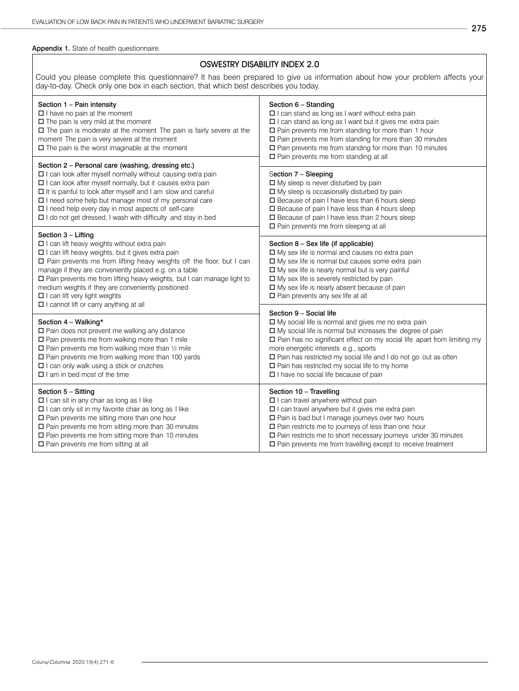### Appendix 1. State of health questionnaire.

# OSWESTRY DISABILITY INDEX 2.0

Could you please complete this questionnaire? It has been prepared to give us information about how your problem affects your day-to-day. Check only one box in each section, that which best describes you today.

| Section 1 - Pain intensity<br>$\Box$ I have no pain at the moment<br>$\Box$ The pain is very mild at the moment<br>$\Box$ The pain is moderate at the moment The pain is fairly severe at the<br>moment The pain is very severe at the moment<br>$\square$ The pain is the worst imaginable at the moment                                                                                                                                                                                                  | Section 6 - Standing<br>$\Box$ I can stand as long as I want without extra pain<br>$\Box$ I can stand as long as I want but it gives me extra pain<br>$\square$ Pain prevents me from standing for more than 1 hour<br>$\square$ Pain prevents me from standing for more than 30 minutes<br>$\square$ Pain prevents me from standing for more than 10 minutes<br>$\square$ Pain prevents me from standing at all<br>Section 7 - Sleeping<br>$\Box$ My sleep is never disturbed by pain<br>$\Box$ My sleep is occasionally disturbed by pain<br>□ Because of pain I have less than 6 hours sleep<br>□ Because of pain I have less than 4 hours sleep<br>□ Because of pain I have less than 2 hours sleep<br>$\Box$ Pain prevents me from sleeping at all |  |  |
|------------------------------------------------------------------------------------------------------------------------------------------------------------------------------------------------------------------------------------------------------------------------------------------------------------------------------------------------------------------------------------------------------------------------------------------------------------------------------------------------------------|---------------------------------------------------------------------------------------------------------------------------------------------------------------------------------------------------------------------------------------------------------------------------------------------------------------------------------------------------------------------------------------------------------------------------------------------------------------------------------------------------------------------------------------------------------------------------------------------------------------------------------------------------------------------------------------------------------------------------------------------------------|--|--|
| Section 2 - Personal care (washing, dressing etc.)<br>$\Box$ I can look after myself normally without causing extra pain<br>□ I can look after myself normally, but it causes extra pain<br>$\Box$ It is painful to look after myself and I am slow and careful<br>□ I need some help but manage most of my personal care<br>□ I need help every day in most aspects of self-care<br>□ I do not get dressed, I wash with difficulty and stay in bed                                                        |                                                                                                                                                                                                                                                                                                                                                                                                                                                                                                                                                                                                                                                                                                                                                         |  |  |
| Section 3 - Lifting<br>$\square$ I can lift heavy weights without extra pain<br>□ I can lift heavy weights, but it gives extra pain<br>$\square$ Pain prevents me from lifting heavy weights off the floor, but I can<br>manage if they are conveniently placed e.g. on a table<br>□ Pain prevents me from lifting heavy weights, but I can manage light to<br>medium weights if they are conveniently positioned<br>$\Box$ I can lift very light weights<br>$\Box$ I cannot lift or carry anything at all | Section 8 - Sex life (if applicable)<br>□ My sex life is normal and causes no extra pain<br>□ My sex life is normal but causes some extra pain<br>□ My sex life is nearly normal but is very painful<br>$\square$ My sex life is severely restricted by pain<br>$\Box$ My sex life is nearly absent because of pain<br>□ Pain prevents any sex life at all                                                                                                                                                                                                                                                                                                                                                                                              |  |  |
| Section 4 - Walking*<br>$\square$ Pain does not prevent me walking any distance<br>$\square$ Pain prevents me from walking more than 1 mile<br>$\square$ Pain prevents me from walking more than 1/2 mile<br>$\square$ Pain prevents me from walking more than 100 yards<br>$\Box$ I can only walk using a stick or crutches<br>$\Box$ I am in bed most of the time                                                                                                                                        | Section 9 - Social life<br>□ My social life is normal and gives me no extra pain<br>$\Box$ My social life is normal but increases the degree of pain<br>□ Pain has no significant effect on my social life apart from limiting my<br>more energetic interests e.g., sports<br>□ Pain has restricted my social life and I do not go out as often<br>$\square$ Pain has restricted my social life to my home<br>□ I have no social life because of pain                                                                                                                                                                                                                                                                                                   |  |  |
| Section 5 - Sitting<br>□ I can sit in any chair as long as I like<br>□ I can only sit in my favorite chair as long as I like<br>$\square$ Pain prevents me sitting more than one hour<br>$\Box$ Pain prevents me from sitting more than 30 minutes<br>$\square$ Pain prevents me from sitting more than 10 minutes<br>$\Box$ Pain prevents me from sitting at all                                                                                                                                          | Section 10 - Travelling<br>□ I can travel anywhere without pain<br>□ I can travel anywhere but it gives me extra pain<br>□ Pain is bad but I manage journeys over two hours<br>$\square$ Pain restricts me to journeys of less than one hour<br>□ Pain restricts me to short necessary journeys under 30 minutes<br>$\Box$ Pain prevents me from travelling except to receive treatment                                                                                                                                                                                                                                                                                                                                                                 |  |  |